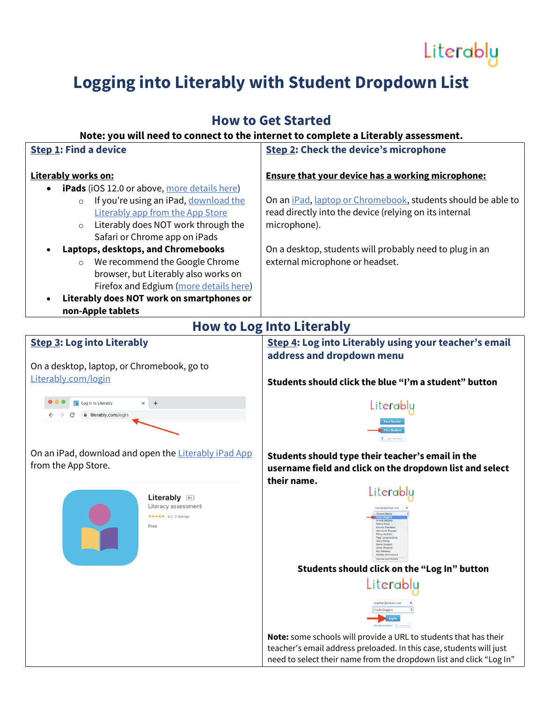## Literably

## **Logging into Literably with Student Dropdown List**

### **How to Get Started**

#### **Note: you will need to connect to the internet to complete a Literably assessment.**

| <b>Step 1: Find a device</b>                                                                                                                                                                                                                                                                                                                                                                                                                                                                                           | <b>Step 2: Check the device's microphone</b>                                                                                                                                                                                                                                                     |
|------------------------------------------------------------------------------------------------------------------------------------------------------------------------------------------------------------------------------------------------------------------------------------------------------------------------------------------------------------------------------------------------------------------------------------------------------------------------------------------------------------------------|--------------------------------------------------------------------------------------------------------------------------------------------------------------------------------------------------------------------------------------------------------------------------------------------------|
| Literably works on:<br><b>iPads</b> (iOS 12.0 or above, more details here)<br>If you're using an iPad, download the<br>$\circ$<br>Literably app from the App Store<br>Literably does NOT work through the<br>$\circ$<br>Safari or Chrome app on iPads<br>Laptops, desktops, and Chromebooks<br>$\bullet$<br>We recommend the Google Chrome<br>$\circ$<br>browser, but Literably also works on<br>Firefox and Edgium (more details here)<br>Literably does NOT work on smartphones or<br>$\bullet$<br>non-Apple tablets | <b>Ensure that your device has a working microphone:</b><br>On an iPad, laptop or Chromebook, students should be able to<br>read directly into the device (relying on its internal<br>microphone).<br>On a desktop, students will probably need to plug in an<br>external microphone or headset. |
|                                                                                                                                                                                                                                                                                                                                                                                                                                                                                                                        | <b>How to Log Into Literably</b>                                                                                                                                                                                                                                                                 |
| <b>Step 3: Log into Literably</b><br>On a desktop, laptop, or Chromebook, go to                                                                                                                                                                                                                                                                                                                                                                                                                                        | Step 4: Log into Literably using your teacher's email<br>address and dropdown menu                                                                                                                                                                                                               |
| Literably.com/login                                                                                                                                                                                                                                                                                                                                                                                                                                                                                                    | Students should click the blue "I'm a student" button                                                                                                                                                                                                                                            |
| Log in to Literably<br>$+$<br>iiterably.com/login<br>On an iPad, download and open the Literably iPad App                                                                                                                                                                                                                                                                                                                                                                                                              | Literably<br>Students should type their teacher's email in the                                                                                                                                                                                                                                   |
| from the App Store.                                                                                                                                                                                                                                                                                                                                                                                                                                                                                                    | username field and click on the dropdown list and select<br>their name.                                                                                                                                                                                                                          |
| Literably 4<br>Literacy assessment<br>★★★★★ 5.0, 3 Ratings<br>Free                                                                                                                                                                                                                                                                                                                                                                                                                                                     | Literably<br>Demo Studen<br>Ginny Weasley<br>Ron Weasley<br>Matilda Worm                                                                                                                                                                                                                         |
|                                                                                                                                                                                                                                                                                                                                                                                                                                                                                                                        | Students should click on the "Log In" button                                                                                                                                                                                                                                                     |
|                                                                                                                                                                                                                                                                                                                                                                                                                                                                                                                        | Literably<br>teacher@school.com<br>Frodo Baggins<br>Note: some schools will provide a URL to students that has their<br>teacher's email address preloaded. In this case, students will just<br>need to select their name from the dropdown list and click "Log In"                               |